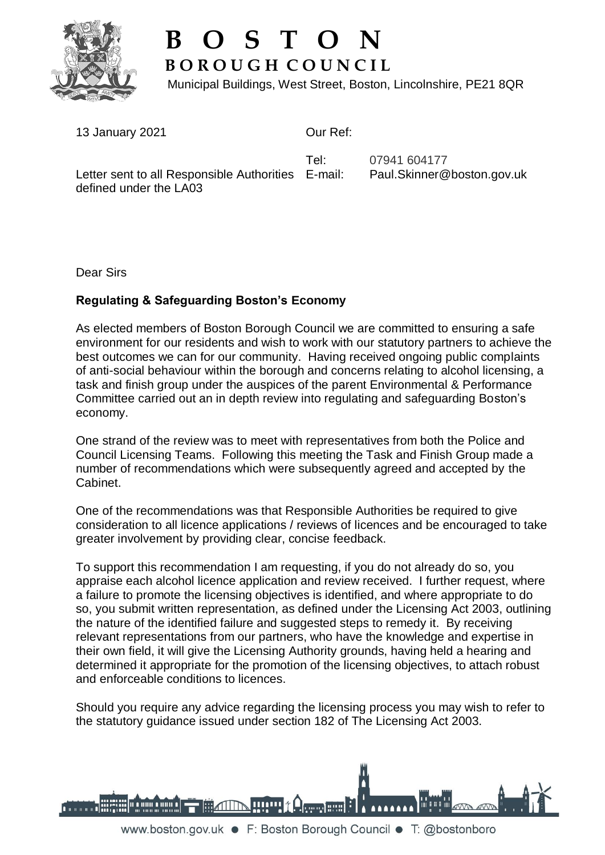

## **B O S T O N B O R O U G H C O U N C I L**

Municipal Buildings, West Street, Boston, Lincolnshire, PE21 8QR

13 January 2021

defined under the LA03

Our Ref:

Letter sent to all Responsible Authorities E-mail: Tel:

07941 604177 Paul.Skinner@boston.gov.uk

Dear Sirs

## **Regulating & Safeguarding Boston's Economy**

As elected members of Boston Borough Council we are committed to ensuring a safe environment for our residents and wish to work with our statutory partners to achieve the best outcomes we can for our community. Having received ongoing public complaints of anti-social behaviour within the borough and concerns relating to alcohol licensing, a task and finish group under the auspices of the parent Environmental & Performance Committee carried out an in depth review into regulating and safeguarding Boston's economy.

One strand of the review was to meet with representatives from both the Police and Council Licensing Teams. Following this meeting the Task and Finish Group made a number of recommendations which were subsequently agreed and accepted by the Cabinet.

One of the recommendations was that Responsible Authorities be required to give consideration to all licence applications / reviews of licences and be encouraged to take greater involvement by providing clear, concise feedback.

To support this recommendation I am requesting, if you do not already do so, you appraise each alcohol licence application and review received. I further request, where a failure to promote the licensing objectives is identified, and where appropriate to do so, you submit written representation, as defined under the Licensing Act 2003, outlining the nature of the identified failure and suggested steps to remedy it. By receiving relevant representations from our partners, who have the knowledge and expertise in their own field, it will give the Licensing Authority grounds, having held a hearing and determined it appropriate for the promotion of the licensing objectives, to attach robust and enforceable conditions to licences.

Should you require any advice regarding the licensing process you may wish to refer to the statutory guidance issued under section 182 of The Licensing Act 2003.